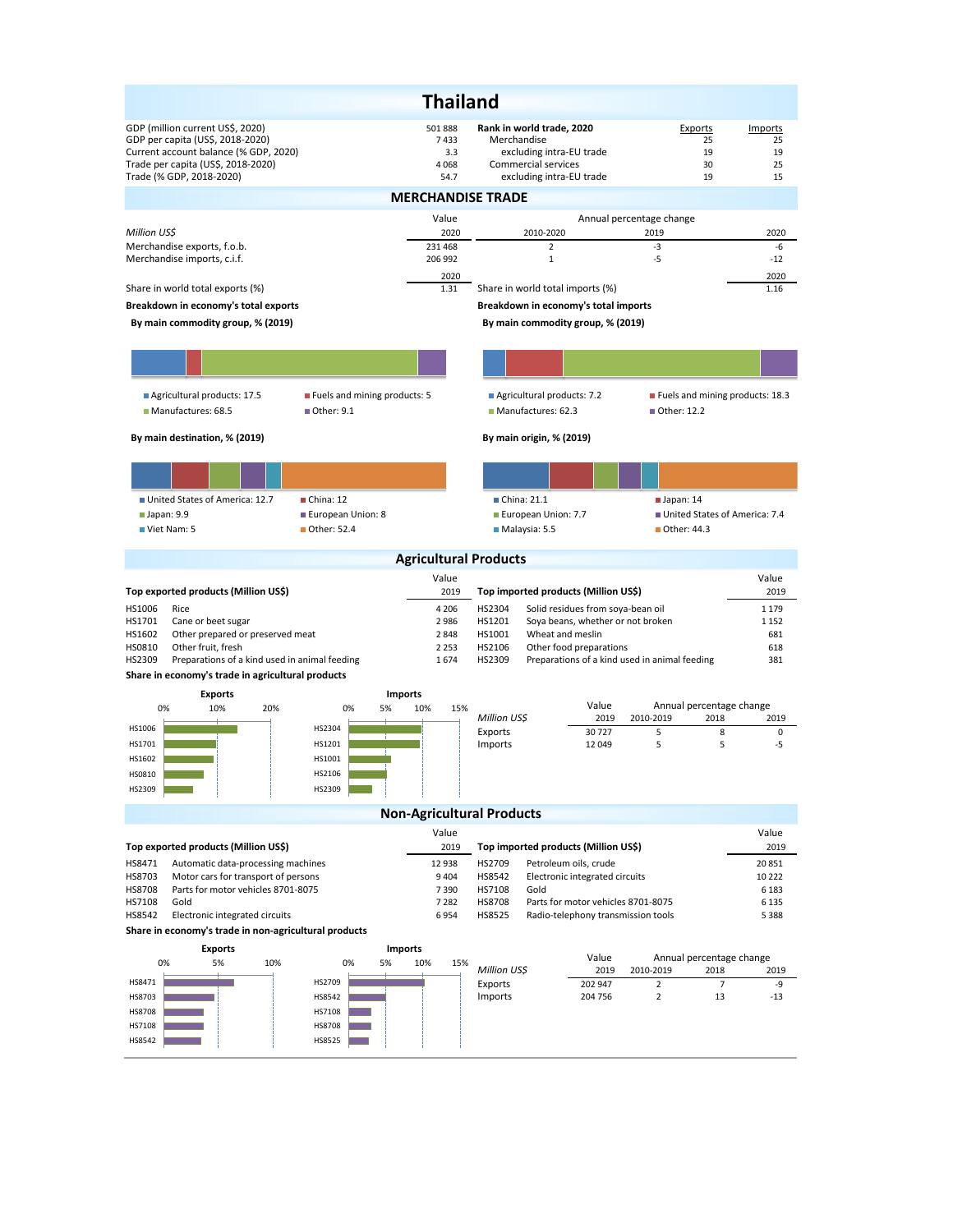|                                                                                                                                                                                 |                                  | <b>Thailand</b>                                                   |                                                                                                                         |                                                                |                                               |                                 |
|---------------------------------------------------------------------------------------------------------------------------------------------------------------------------------|----------------------------------|-------------------------------------------------------------------|-------------------------------------------------------------------------------------------------------------------------|----------------------------------------------------------------|-----------------------------------------------|---------------------------------|
| GDP (million current US\$, 2020)<br>GDP per capita (US\$, 2018-2020)<br>Current account balance (% GDP, 2020)<br>Trade per capita (US\$, 2018-2020)<br>Trade (% GDP, 2018-2020) |                                  | 501 888<br>7433<br>3.3<br>4068<br>54.7                            | Rank in world trade, 2020<br>Merchandise<br>excluding intra-EU trade<br>Commercial services<br>excluding intra-EU trade |                                                                | Exports<br>25<br>19<br>30<br>19               | Imports<br>25<br>19<br>25<br>15 |
|                                                                                                                                                                                 |                                  | <b>MERCHANDISE TRADE</b>                                          |                                                                                                                         |                                                                |                                               |                                 |
|                                                                                                                                                                                 |                                  | Value                                                             |                                                                                                                         |                                                                | Annual percentage change                      |                                 |
| Million US\$<br>Merchandise exports, f.o.b.                                                                                                                                     |                                  | 2020<br>231 468                                                   | 2010-2020<br>$\overline{2}$                                                                                             |                                                                | 2019<br>$-3$                                  | 2020<br>-6                      |
| Merchandise imports, c.i.f.                                                                                                                                                     |                                  | 206 992                                                           | $\mathbf 1$                                                                                                             |                                                                | -5                                            | $-12$                           |
| Share in world total exports (%)                                                                                                                                                |                                  | 2020<br>1.31                                                      | Share in world total imports (%)                                                                                        |                                                                |                                               | 2020<br>1.16                    |
| Breakdown in economy's total exports                                                                                                                                            |                                  |                                                                   | Breakdown in economy's total imports                                                                                    |                                                                |                                               |                                 |
| By main commodity group, % (2019)                                                                                                                                               |                                  |                                                                   | By main commodity group, % (2019)                                                                                       |                                                                |                                               |                                 |
|                                                                                                                                                                                 |                                  |                                                                   |                                                                                                                         |                                                                |                                               |                                 |
| Agricultural products: 17.5<br>Manufactures: 68.5                                                                                                                               | Fuels and mining products: 5     | Agricultural products: 7.2<br>Manufactures: 62.3<br>■ Other: 12.2 |                                                                                                                         |                                                                | Fuels and mining products: 18.3               |                                 |
| By main destination, % (2019)                                                                                                                                                   |                                  |                                                                   | By main origin, % (2019)                                                                                                |                                                                |                                               |                                 |
|                                                                                                                                                                                 |                                  |                                                                   |                                                                                                                         |                                                                |                                               |                                 |
| United States of America: 12.7                                                                                                                                                  | China: 12                        |                                                                   | China: 21.1                                                                                                             |                                                                | $\blacksquare$ Japan: 14                      |                                 |
| $\blacksquare$ Japan: 9.9<br>Viet Nam: 5                                                                                                                                        | European Union: 8<br>Other: 52.4 |                                                                   | European Union: 7.7                                                                                                     |                                                                | ■ Other: 44.3                                 | United States of America: 7.4   |
|                                                                                                                                                                                 |                                  |                                                                   | Malaysia: 5.5                                                                                                           |                                                                |                                               |                                 |
|                                                                                                                                                                                 |                                  | <b>Agricultural Products</b>                                      |                                                                                                                         |                                                                |                                               |                                 |
| Top exported products (Million US\$)                                                                                                                                            |                                  | Value<br>2019                                                     | Top imported products (Million US\$)                                                                                    |                                                                |                                               | Value<br>2019                   |
| HS1006<br>Rice                                                                                                                                                                  |                                  | 4 2 0 6                                                           | HS2304                                                                                                                  | Solid residues from soya-bean oil                              |                                               | 1 1 7 9                         |
| HS1701<br>Cane or beet sugar<br>HS1602<br>Other prepared or preserved meat                                                                                                      |                                  | 2986<br>2848                                                      | HS1201<br>HS1001                                                                                                        | Soya beans, whether or not broken<br>Wheat and meslin          |                                               | 1 1 5 2<br>681                  |
| HS0810<br>Other fruit, fresh                                                                                                                                                    |                                  | 2 2 5 3                                                           | HS2106                                                                                                                  | Other food preparations                                        |                                               | 618                             |
| HS2309<br>Preparations of a kind used in animal feeding                                                                                                                         |                                  | 1674                                                              | HS2309                                                                                                                  |                                                                | Preparations of a kind used in animal feeding | 381                             |
| Share in economy's trade in agricultural products<br><b>Exports</b>                                                                                                             |                                  | <b>Imports</b>                                                    |                                                                                                                         |                                                                |                                               |                                 |
| 0%<br>10%<br>20%                                                                                                                                                                | 0%<br>5%                         | 10%<br>15%                                                        |                                                                                                                         | Value<br>Annual percentage change<br>2010-2019<br>2019<br>2018 |                                               |                                 |
| HS1006                                                                                                                                                                          | HS2304                           |                                                                   | Million US\$                                                                                                            |                                                                |                                               | 2019                            |
| <b>HS1701</b>                                                                                                                                                                   |                                  |                                                                   | Exports                                                                                                                 | 30727                                                          | 5                                             | 8<br>0                          |
| HS1602                                                                                                                                                                          | HS1201                           |                                                                   | Imports                                                                                                                 | 12 049                                                         | 5                                             | 5<br>-5                         |
|                                                                                                                                                                                 | HS1001                           |                                                                   |                                                                                                                         |                                                                |                                               |                                 |
| <b>HS0810</b><br>HS2309                                                                                                                                                         | HS2106<br>HS2309                 |                                                                   |                                                                                                                         |                                                                |                                               |                                 |
|                                                                                                                                                                                 |                                  |                                                                   |                                                                                                                         |                                                                |                                               |                                 |
|                                                                                                                                                                                 |                                  | Value                                                             | <b>Non-Agricultural Products</b>                                                                                        |                                                                |                                               | Value                           |
| Top exported products (Million US\$)                                                                                                                                            |                                  | 2019                                                              | Top imported products (Million US\$)                                                                                    |                                                                |                                               | 2019                            |
| HS8471<br>Automatic data-processing machines                                                                                                                                    |                                  | 12 938                                                            | HS2709                                                                                                                  | Petroleum oils, crude                                          |                                               | 20851                           |
| Motor cars for transport of persons<br>HS8703<br>Parts for motor vehicles 8701-8075<br><b>HS8708</b>                                                                            |                                  | 9 4 0 4<br>7390                                                   | HS8542<br>HS7108<br>Gold                                                                                                | Electronic integrated circuits                                 |                                               | 10 222<br>6 1 8 3               |
| HS7108<br>Gold                                                                                                                                                                  |                                  | 7 2 8 2                                                           | HS8708                                                                                                                  | Parts for motor vehicles 8701-8075                             |                                               | 6 1 3 5                         |
| HS8542<br>Electronic integrated circuits<br>Share in economy's trade in non-agricultural products                                                                               |                                  | 6954                                                              | <b>HS8525</b>                                                                                                           | Radio-telephony transmission tools                             |                                               | 5 3 8 8                         |
| <b>Exports</b>                                                                                                                                                                  |                                  | <b>Imports</b>                                                    |                                                                                                                         |                                                                |                                               |                                 |
| 0%<br>5%<br>10%                                                                                                                                                                 | 0%<br>5%                         | 10%<br>15%                                                        | Million US\$                                                                                                            | Value<br>2019                                                  | Annual percentage change<br>2010-2019<br>2018 | 2019                            |
| HS8471                                                                                                                                                                          | HS2709                           |                                                                   | Exports                                                                                                                 | 202 947                                                        | $\overline{2}$                                | $\overline{7}$<br>-9            |
| HS8703                                                                                                                                                                          | HS8542                           |                                                                   | Imports                                                                                                                 | 204 756                                                        | $\overline{2}$                                | 13<br>$-13$                     |
| <b>HS8708</b><br>HS7108                                                                                                                                                         | HS7108<br>HS8708                 |                                                                   |                                                                                                                         |                                                                |                                               |                                 |